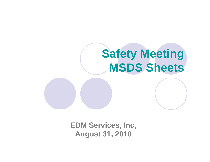

**EDM Services, Inc, August 31, 2010**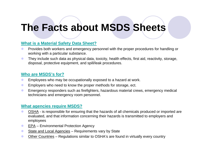# **The Facts about MSDS Sheets**

#### **What is a Material Safety Data Sheet?**

- $\bullet$  Provides both workers and emergency personnel with the proper procedures for handling or working with a particular substance.
- $\bullet$  They include such data as physical data, toxicity, health effects, first aid, reactivity, storage, disposal, protective equipment, and spill/leak procedures.

#### **Who are MSDS's for?**

- $\bullet$ Employees who may be occupationally exposed to a hazard at work.
- $\bullet$ Employers who need to know the proper methods for storage, ect.
- $\bullet$  Emergency responders such as firefighters, hazardous material crews, emergency medical technicians and emergency room personnel.

#### **What agencies require MSDS?**

- $\bullet$  OSHA - is responsible for ensuring that the hazards of all chemicals produced or imported are evaluated, and that information concerning their hazards is transmitted to employers and employees
- $\bullet$ EPA – Environmental Protection Agency
- $\bullet$ State and Local Agencies – Requirements vary by State
- $\bullet$ Other Countries – Regulations similar to OSHA's are found in virtually every country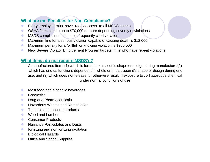## **What are the Penalties for Non-Compliance?**

- $\bullet$ Every employee must have "ready access" to all MSDS sheets.
- $\bullet$ OSHA fines can be up to \$70,000 or more depending severity of violations.
- $\bullet$ MSDS compliance is the most frequently cited violation
- $\bullet$ Maximum fine for a serious violation capable of causing death is \$12,000
- $\bullet$ Maximum penalty for a "willful" or knowing violation is \$250,000
- $\bullet$ New Severe Violator Enforcement Program targets firms who have repeat violations

#### **What items do not require MSDS's?**

A manufactured item: (1) which is formed to a specific shape or design during manufacture (2) which has end us functions dependent in whole or in part upon it's shape or design during end use; and (3) which does not release, or otherwise result in exposure to , a hazardous chemical under normal conditions of use

- $\bullet$ Most food and alcoholic beverages
- $\bullet$ **Cosmetics**
- $\bullet$ Drug and Pharmeceuticals
- $\bullet$ Hazardous Wastes and Remediation
- $\bullet$ Tobacco and tobacco products
- $\bullet$ Wood and Lumber
- $\bullet$ Consumer Products
- $\bullet$ Nuisance Particulates and Dusts
- $\bullet$ Ioninzing and non ionizing raditation
- $\bullet$ Biological Hazards
- $\bullet$ Office and School Supplies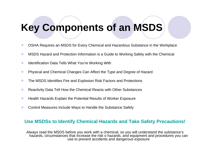# **Key Components of an MSDS**

- $\bullet$ OSHA Requires an MSDS for Every Chemical and Hazardous Substance in the Workplace
- $\bullet$ MSDS Hazard and Protection Information is a Guide to Working Safely with the Chemical
- $\bullet$ Identification Data Tells What You're Working With
- $\bullet$ Physical and Chemical Changes Can Affect the Type and Degree of Hazard
- $\bullet$ The MSDS Identifies Fire and Explosion Risk Factors and Protections
- $\bullet$ Reactivity Data Tell How the Chemical Reacts with Other Substances
- $\bullet$ Health Hazards Explain the Potential Results of Worker Exposure
- $\bullet$ Control Measures Include Ways to Handle the Substance Safely

#### **Use MSDSs to Identify Chemical Hazards and Take Safety Precautions!**

Always read the MSDS before you work with a chemical, so you will understand the substance's hazards, circumstances that increase the risk o hazards, and equipment and procedures you can use to prevent accidents and dangerous exposure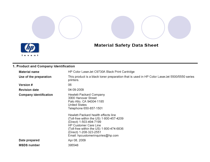# **Material Safety Data Sheet**



#### 1. Product and Company Identification

| <b>Material name</b>          | HP Color LaserJet C9730A Black Print Cartridge                                                                                                                                                                                      |
|-------------------------------|-------------------------------------------------------------------------------------------------------------------------------------------------------------------------------------------------------------------------------------|
| Use of the preparation        | This product is a black toner preparation that is used in HP Color LaserJet 5500/5550 series<br>printers.                                                                                                                           |
| <b>Version #</b>              | 06                                                                                                                                                                                                                                  |
| <b>Revision date</b>          | 04-09-2009                                                                                                                                                                                                                          |
| <b>Company identification</b> | Hewlett-Packard Company<br>3000 Hanover Street<br>Palo Alto, CA 94304-1185<br>United States<br>Telephone 650-857-1501<br>Hewlett-Packard health effects line<br>(Toll-free within the US) 1-800-457-4209<br>(Direct) 1-503-494-7199 |
|                               | <b>HP Customer Care Line</b><br>(Toll-free within the US) 1-800-474-6836<br>(Direct) 1-208-323-2551<br>Email: hpcustomeringuiries@hp.com                                                                                            |
| Date prepared                 | Apr 08, 2009                                                                                                                                                                                                                        |
| <b>MSDS number</b>            | 395548                                                                                                                                                                                                                              |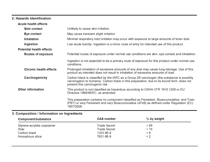#### 2. Hazards Identification

| <b>Acute health effects</b>     |                                                                                                                                                                                                                             |
|---------------------------------|-----------------------------------------------------------------------------------------------------------------------------------------------------------------------------------------------------------------------------|
| <b>Skin contact</b>             | Unlikely to cause skin irritation.                                                                                                                                                                                          |
| Eye contact                     | May cause transient slight irritation                                                                                                                                                                                       |
| Inhalation                      | Minimal respiratory tract irritation may occur with exposure to large amounts of toner dust.                                                                                                                                |
| Ingestion                       | Low acute toxicity. Ingestion is a minor route of entry for intended use of this product.                                                                                                                                   |
| <b>Potential health effects</b> |                                                                                                                                                                                                                             |
| Routes of exposure              | Potential routes of exposure under normal use conditions are skin, eye contact and inhalation.                                                                                                                              |
|                                 | Ingestion is not expected to be a primary route of exposure for this product under normal use<br>conditions.                                                                                                                |
| <b>Chronic health effects</b>   | Prolonged inhalation of excessive amounts of any dust may cause lung damage. Use of this<br>product as intended does not result in inhalation of excessive amounts of dust.                                                 |
| Carcinogenicity                 | Carbon black is classified by the IARC as a Group 2B carcinogen (the substance is possibly<br>carcinogenic to humans). Carbon black in this preparation, due to its bound form, does not<br>present this carcinogenic risk. |
| <b>Other information</b>        | This product is not classified as hazardous according to OSHA CFR 1910.1200 or EU<br>Directive 1999/45/EC, as amended.                                                                                                      |
|                                 | This preparation contains no component classified as Persistent, Bioaccumulative, and Toxic<br>(PBT) or very Persistent and very Bioaccumulative (vPvB) as defined under Regulation (EC)<br>1907/2006.                      |

# 3. Composition / Information on Ingredients

| Component/substance        | <b>CAS number</b> | % by weight |  |
|----------------------------|-------------------|-------------|--|
| Styrene acrylate copolymer | Trade Secret      | < 85        |  |
| Wax                        | Trade Secret      | < 15        |  |
| Carbon black               | 1333-86-4         | ≤ 8         |  |
| Amorphous silica           | 7631-86-9         | < 2         |  |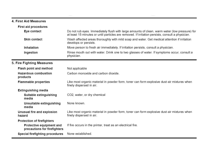#### 4. First Aid Measures

| <b>First aid procedures</b>                              |                                                                                                                                                                                                   |
|----------------------------------------------------------|---------------------------------------------------------------------------------------------------------------------------------------------------------------------------------------------------|
| Eye contact                                              | Do not rub eyes. Immediately flush with large amounts of clean, warm water (low pressure) for<br>at least 15 minutes or until particles are removed. If irritation persists, consult a physician. |
| <b>Skin contact</b>                                      | Wash affected areas thoroughly with mild soap and water. Get medical attention if irritation<br>develops or persists.                                                                             |
| Inhalation                                               | Move person to fresh air immediately. If irritation persists, consult a physician.                                                                                                                |
| Ingestion                                                | Rinse mouth out with water. Drink one to two glasses of water. If symptoms occur, consult a<br>physician.                                                                                         |
| 5. Fire Fighting Measures                                |                                                                                                                                                                                                   |
| <b>Flash point and method</b>                            | Not applicable                                                                                                                                                                                    |
| <b>Hazardous combustion</b><br>products                  | Carbon monoxide and carbon dioxide.                                                                                                                                                               |
| <b>Flammable properties</b>                              | Like most organic material in powder form, toner can form explosive dust-air mixtures when<br>finely dispersed in air.                                                                            |
| <b>Extinguishing media</b>                               |                                                                                                                                                                                                   |
| Suitable extinguishing<br>media                          | CO2, water, or dry chemical                                                                                                                                                                       |
| Unsuitable extinguishing<br>media                        | None known.                                                                                                                                                                                       |
| Unusual fire and explosion<br>hazard                     | Like most organic material in powder form, toner can form explosive dust-air mixtures when<br>finely dispersed in air.                                                                            |
| <b>Protection of firefighters</b>                        |                                                                                                                                                                                                   |
| Protective equipment and<br>precautions for firefighters | If fire occurs in the printer, treat as an electrical fire.                                                                                                                                       |
| <b>Special firefighting procedures</b>                   | None established.                                                                                                                                                                                 |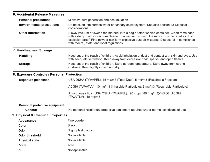| 6. Accidental Release Measures             |                                                                                                                                                                                                                                                                                                                                                                                                                                                   |  |
|--------------------------------------------|---------------------------------------------------------------------------------------------------------------------------------------------------------------------------------------------------------------------------------------------------------------------------------------------------------------------------------------------------------------------------------------------------------------------------------------------------|--|
| <b>Personal precautions</b>                | Minimize dust generation and accumulation.                                                                                                                                                                                                                                                                                                                                                                                                        |  |
| <b>Environmental precautions</b>           | Do not flush into surface water or sanitary sewer system. See also section 13 Disposal<br>considerations.<br>Slowly vacuum or sweep the material into a bag or other sealed container. Clean remainder<br>with a damp cloth or vacuum cleaner. If a vacuum is used, the motor must be rated as dust<br>explosion-proof. Fine powder can form explosive dust-air mixtures. Dispose of in compliance<br>with federal, state, and local regulations. |  |
| Other information                          |                                                                                                                                                                                                                                                                                                                                                                                                                                                   |  |
| 7. Handling and Storage                    |                                                                                                                                                                                                                                                                                                                                                                                                                                                   |  |
| <b>Handling</b>                            | Keep out of the reach of children. Avoid inhalation of dust and contact with skin and eyes. Use<br>with adequate ventilation. Keep away from excessive heat, sparks, and open flames.                                                                                                                                                                                                                                                             |  |
| Storage                                    | Keep out of the reach of children. Store at room temperature. Store away from strong<br>oxidizers. Keep tightly closed and dry.                                                                                                                                                                                                                                                                                                                   |  |
| 8. Exposure Controls / Personal Protection |                                                                                                                                                                                                                                                                                                                                                                                                                                                   |  |
| <b>Exposure guidelines</b>                 | USA OSHA (TWA/PEL): 15 mg/m3 (Total Dust), 5 mg/m3 (Respirable Fraction)                                                                                                                                                                                                                                                                                                                                                                          |  |
|                                            | ACGIH (TWA/TLV): 10 mg/m3 (Inhalable Particulate), 3 mg/m3 (Respirable Particulate)                                                                                                                                                                                                                                                                                                                                                               |  |
|                                            | Amorphous silica: USA OSHA (TWA/PEL): 20 mppcf 80 (mg/m3)/%SiO2, ACGIH<br>(TWA/TLV): 10 mg/m3                                                                                                                                                                                                                                                                                                                                                     |  |
| Personal protective equipment              |                                                                                                                                                                                                                                                                                                                                                                                                                                                   |  |
| General                                    | No personal respiratory protective equipment required under normal conditions of use.                                                                                                                                                                                                                                                                                                                                                             |  |
| 9. Physical & Chemical Properties          |                                                                                                                                                                                                                                                                                                                                                                                                                                                   |  |
| Appearance                                 | Fine powder                                                                                                                                                                                                                                                                                                                                                                                                                                       |  |
| Color                                      | Black                                                                                                                                                                                                                                                                                                                                                                                                                                             |  |
| Odor                                       | Slight plastic odor                                                                                                                                                                                                                                                                                                                                                                                                                               |  |
| Odor threshold                             | Not available.                                                                                                                                                                                                                                                                                                                                                                                                                                    |  |
| <b>Physical state</b>                      | Not available.                                                                                                                                                                                                                                                                                                                                                                                                                                    |  |
| Form                                       | solid                                                                                                                                                                                                                                                                                                                                                                                                                                             |  |
| рH                                         | Not applicable                                                                                                                                                                                                                                                                                                                                                                                                                                    |  |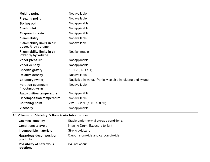| <b>Melting point</b>                              | Not available.                                                |
|---------------------------------------------------|---------------------------------------------------------------|
| <b>Freezing point</b>                             | Not available.                                                |
| <b>Boiling point</b>                              | Not applicable                                                |
| <b>Flash point</b>                                | Not applicable                                                |
| <b>Evaporation rate</b>                           | Not applicable                                                |
| <b>Flammability</b>                               | Not available.                                                |
| Flammability limits in air,<br>upper, % by volume | Not available.                                                |
| Flammability limits in air,<br>lower, % by volume | Not flammable                                                 |
| Vapor pressure                                    | Not applicable                                                |
| Vapor density                                     | Not applicable                                                |
| <b>Specific gravity</b>                           | $1 - 1.2$ (H2O = 1)                                           |
| <b>Relative density</b>                           | Not available.                                                |
| Solubility (water)                                | Negligible in water. Partially soluble in toluene and xylene. |
| <b>Partition coefficient</b><br>(n-octanol/water) | Not available.                                                |
| <b>Auto-ignition temperature</b>                  | Not applicable                                                |
| <b>Decomposition temperature</b>                  | Not available.                                                |
| Softening point                                   | 212 - 302 °F (100 - 150 °C)                                   |
| Viscosity                                         | Not applicable                                                |

### 10. Chemical Stability & Reactivity Information

| <b>Chemical stability</b>                  | Stable under normal storage conditions. |
|--------------------------------------------|-----------------------------------------|
| <b>Conditions to avoid</b>                 | Imaging Drum: Exposure to light         |
| Incompatible materials                     | Strong oxidizers                        |
| <b>Hazardous decomposition</b><br>products | Carbon monoxide and carbon dioxide.     |
| Possibility of hazardous<br>reactions      | Will not occur.                         |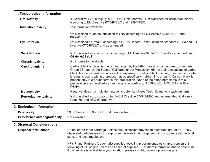### 11. Toxicological Information

| <b>Oral toxicity</b>          | LD50/oral/rat >2000 mg/kg; (OECD 401); Not harmful Not classified for acute oral toxicity<br>according to EU Directive 67/548/EEC and 1999/45/EC.                                                                                                                                                                                                                                                                                                                                                                                                                                       |  |
|-------------------------------|-----------------------------------------------------------------------------------------------------------------------------------------------------------------------------------------------------------------------------------------------------------------------------------------------------------------------------------------------------------------------------------------------------------------------------------------------------------------------------------------------------------------------------------------------------------------------------------------|--|
| <b>Inhalation toxicity</b>    | No information available.                                                                                                                                                                                                                                                                                                                                                                                                                                                                                                                                                               |  |
|                               | Not classified for acute inhalation toxicity according to EU Directive 67/548/EEC and<br>1999/45/EC.                                                                                                                                                                                                                                                                                                                                                                                                                                                                                    |  |
| Eye irritation                | Not classified as irritant, according to OSHA Hazard Communication Standard (HCS) and EU<br>Directive 67/548/EEC and as amended.                                                                                                                                                                                                                                                                                                                                                                                                                                                        |  |
| Sensitization                 | Not classified as a sensitizer according to EU Directive 67/548/EEC and as amended, and<br>OSHA HCS (US).                                                                                                                                                                                                                                                                                                                                                                                                                                                                               |  |
| <b>Chronic toxicity</b>       | No information available.                                                                                                                                                                                                                                                                                                                                                                                                                                                                                                                                                               |  |
| Carcinogenicity               | Carbon black is classified as a carcinogen by the IARC (possibly carcinogenic to humans,<br>Group 2B) and by the State of California under Proposition 65. In their evaluations of carbon<br>black, both organizations indicate that exposure to carbon black, per se, does not occur when<br>it remains bound within a product matrix, specifically, rubber, ink, or paint. Carbon black is<br>present only in a bound form in this preparation. None of the other ingredients in this<br>preparation are classified as carcinogens according to ACGIH, EU, IARC, MAK, NTP or<br>OSHA. |  |
| Mutagenicity                  | Negative, does not indicate mutagenic potential (Ames Test: Salmonella typhimurium)                                                                                                                                                                                                                                                                                                                                                                                                                                                                                                     |  |
| Reproductive toxicity         | Not classified as toxic according to EU Directive 67/548/EEC and as amended, California<br>Prop. 65, and DFG (Germany).                                                                                                                                                                                                                                                                                                                                                                                                                                                                 |  |
| 12. Ecological Information    |                                                                                                                                                                                                                                                                                                                                                                                                                                                                                                                                                                                         |  |
| <b>Ecotoxicity</b>            | 96.00 Hours, LL50 > 1000 mg/l, rainbow trout                                                                                                                                                                                                                                                                                                                                                                                                                                                                                                                                            |  |
| Persistence and degradability | Not available.                                                                                                                                                                                                                                                                                                                                                                                                                                                                                                                                                                          |  |
| 13. Disposal Considerations   |                                                                                                                                                                                                                                                                                                                                                                                                                                                                                                                                                                                         |  |
| <b>Disposal instructions</b>  | Do not shred toner cartridge, unless dust-explosion prevention measures are taken. Finely<br>dispersed particles may form explosive mixtures in air. Dispose of in compliance with federal,<br>state, and local regulations.                                                                                                                                                                                                                                                                                                                                                            |  |
|                               | HP's Planet Partners (trademark) supplies recycling program enables simple, convenient<br>recycling of HP original inkjet and LaserJet supplies. For more information and to determine<br>if this service is available in your location, please visit http://www.hp.com/recycle.                                                                                                                                                                                                                                                                                                        |  |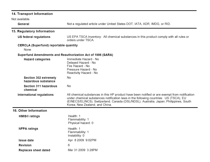#### 14. Transport Information

Not available.

| General                                               | Not a regulated article under United States DOT, IATA, ADR, IMDG, or RID.                                                                                                                                                                                                                                         |  |
|-------------------------------------------------------|-------------------------------------------------------------------------------------------------------------------------------------------------------------------------------------------------------------------------------------------------------------------------------------------------------------------|--|
| 15. Regulatory Information                            |                                                                                                                                                                                                                                                                                                                   |  |
| US federal regulations                                | US EPA TSCA Inventory: All chemical substances in this product comply with all rules or<br>orders under TSCA.                                                                                                                                                                                                     |  |
| <b>CERCLA (Superfund) reportable quantity</b><br>None |                                                                                                                                                                                                                                                                                                                   |  |
|                                                       | Superfund Amendments and Reauthorization Act of 1986 (SARA)                                                                                                                                                                                                                                                       |  |
| <b>Hazard categories</b>                              | Immediate Hazard - No<br>Delayed Hazard - No<br>Fire Hazard - No<br>Pressure Hazard - No<br>Reactivity Hazard - No                                                                                                                                                                                                |  |
| Section 302 extremely<br>hazardous substance          | No                                                                                                                                                                                                                                                                                                                |  |
| Section 311 hazardous<br>chemical                     | No                                                                                                                                                                                                                                                                                                                |  |
| International regulations                             | All chemical substances in this HP product have been notified or are exempt from notification<br>under chemical substances notification laws in the following countries: US (TSCA), EU<br>(EINECS/ELINCS), Switzerland, Canada (DSL/NDSL), Australia, Japan, Philippines, South<br>Korea, New Zealand, and China. |  |
| 16. Other Information                                 |                                                                                                                                                                                                                                                                                                                   |  |
| <b>HMIS<sup>®</sup></b> ratings                       | Health: 1<br>Flammability: 1<br>Physical hazard: 0                                                                                                                                                                                                                                                                |  |
| <b>NFPA ratings</b>                                   | Health: 1<br>Flammability: 1<br>Instability: 0                                                                                                                                                                                                                                                                    |  |
| <b>Issue date</b>                                     | Apr 8 2009 9:02PM                                                                                                                                                                                                                                                                                                 |  |
| Revision                                              | 6                                                                                                                                                                                                                                                                                                                 |  |
| <b>Replaces sheet dated</b>                           | Mar 31 2009 3:28PM                                                                                                                                                                                                                                                                                                |  |